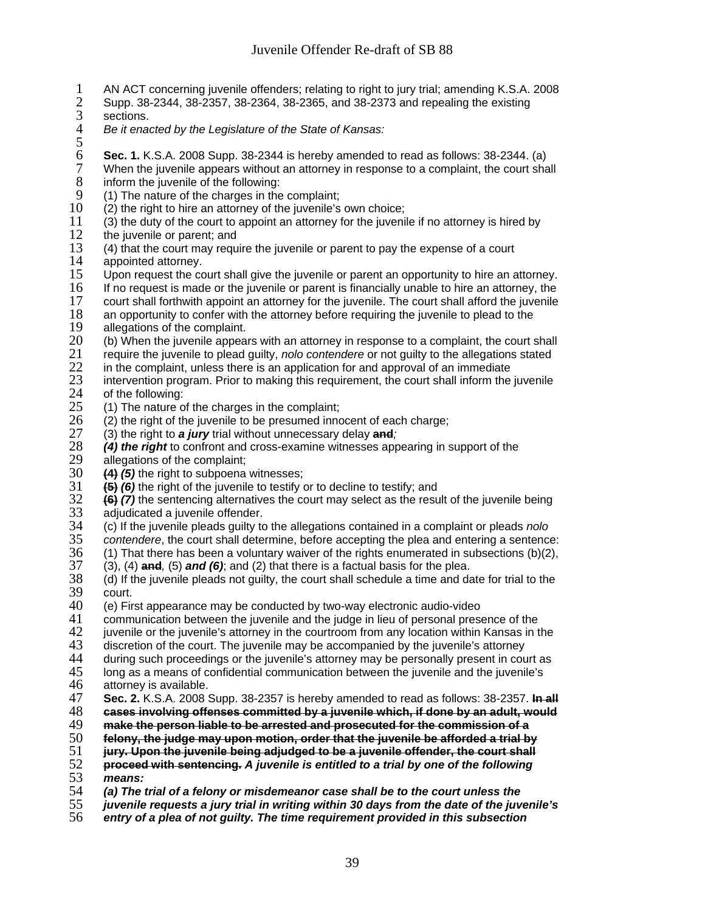- 1 AN ACT concerning juvenile offenders; relating to right to jury trial; amending K.S.A. 2008<br>2 Supp. 38-2344, 38-2357, 38-2364, 38-2365, and 38-2373 and repealing the existing
- 2 Supp. 38-2344, 38-2357, 38-2364, 38-2365, and 38-2373 and repealing the existing
- 3 sections.<br>4 *Be it ena*
- 4 *Be it enacted by the Legislature of the State of Kansas:*
- $\frac{5}{6}$
- 6 **Sec. 1.** K.S.A. 2008 Supp. 38-2344 is hereby amended to read as follows: 38-2344. (a) 7 When the juvenile appears without an attorney in response to a complaint, the court shall inform the juvenile of the following: 8 inform the juvenile of the following:<br>9 (1) The nature of the charges in the
- 9 (1) The nature of the charges in the complaint;<br>10 (2) the right to hire an attorney of the juvenile's
- $10$  (2) the right to hire an attorney of the juvenile's own choice;<br> $11$  (3) the duty of the court to appoint an attorney for the juveni
- 11 (3) the duty of the court to appoint an attorney for the juvenile if no attorney is hired by  $12$  the iuvenile or parent: and
- 12 the juvenile or parent; and  $13$  (4) that the court may requ
- 13 (4) that the court may require the juvenile or parent to pay the expense of a court 14 appointed attorney.
- 14 appointed attorney.<br>15 Upon request the co
- 15 Upon request the court shall give the juvenile or parent an opportunity to hire an attorney.<br>16 If no request is made or the juvenile or parent is financially unable to hire an attorney, the
- 16 If no request is made or the juvenile or parent is financially unable to hire an attorney, the
- 17 court shall forthwith appoint an attorney for the juvenile. The court shall afford the juvenile<br>18 an opportunity to confer with the attorney before requiring the juvenile to plead to the
- 18 an opportunity to confer with the attorney before requiring the juvenile to plead to the 19 allegations of the complaint.
- 19 allegations of the complaint.<br>20 (b) When the juvenile appear
- 20 (b) When the juvenile appears with an attorney in response to a complaint, the court shall require the juvenile to plead quilty, *nolo contendere* or not quilty to the allegations stated
- 21 require the juvenile to plead guilty, *nolo contendere* or not guilty to the allegations stated
- 22 in the complaint, unless there is an application for and approval of an immediate  $23$  intervention program. Prior to making this requirement, the court shall inform the
- 23 intervention program. Prior to making this requirement, the court shall inform the juvenile 24 of the following: 24 of the following:<br>25 (1) The nature of
- 25 (1) The nature of the charges in the complaint;<br>26 (2) the right of the juvenile to be presumed inno
- 26 (2) the right of the juvenile to be presumed innocent of each charge;<br>27 (3) the right to **a jury** trial without unnecessary delay **and**;
- 27 (3) the right to *a jury* trial without unnecessary delay **and***;*
- 28 *(4) the right* to confront and cross-examine witnesses appearing in support of the
- 29 allegations of the complaint;<br>30  $\left(4\right)$  (5) the right to subpoena
- 30 **(4)** *(5)* the right to subpoena witnesses;
- 31 **(5)** (6) the right of the juvenile to testify or to decline to testify; and <br>32 **(6)** (7) the sentencing alternatives the court may select as the resu
- 32 **(6)** *(7)* the sentencing alternatives the court may select as the result of the juvenile being 33 adjudicated a juvenile offender.<br>34 (c) If the juvenile pleads guilty to
- 34 (c) If the juvenile pleads guilty to the allegations contained in a complaint or pleads *nolo*
- 35 *contendere*, the court shall determine, before accepting the plea and entering a sentence:
- 36 (1) That there has been a voluntary waiver of the rights enumerated in subsections (b)(2),  $(3)$ , (4) and (6); and (6); and (2) that there is a factual basis for the plea.
- 37 (3), (4) **and***,* (5) *and (6)*; and (2) that there is a factual basis for the plea.
- 38 (d) If the juvenile pleads not guilty, the court shall schedule a time and date for trial to the 39 court.<br>40 (e) Fir
- $40$  (e) First appearance may be conducted by two-way electronic audio-video  $41$  communication between the juvenile and the judge in lieu of personal preso
- 41 communication between the juvenile and the judge in lieu of personal presence of the<br>42 iuvenile or the iuvenile's attorney in the courtroom from any location within Kansas in t
- 42 juvenile or the juvenile's attorney in the courtroom from any location within Kansas in the 43 discretion of the court. The juvenile may be accompanied by the juvenile's attorney
- 43 discretion of the court. The juvenile may be accompanied by the juvenile's attorney<br>44 during such proceedings or the juvenile's attorney may be personally present in cou
- 44 during such proceedings or the juvenile's attorney may be personally present in court as 45 dong as a means of confidential communication between the juvenile in luvenile's
- 45 long as a means of confidential communication between the juvenile and the juvenile's 46 attorney is available.
- 46 attorney is available.<br>47 **Sec. 2.** K.S.A. 2008 47 **Sec. 2.** K.S.A. 2008 Supp. 38-2357 is hereby amended to read as follows: 38-2357. **In all**
- 48 **cases involving offenses committed by a juvenile which, if done by an adult, would**
- 49 **make the person liable to be arrested and prosecuted for the commission of a**
- 
- 50 **felony, the judge may upon motion, order that the juvenile be afforded a trial by**  51 **jury. Upon the juvenile being adjudged to be a juvenile offender, the court shall**
- 52 **proceed with sentencing.** *A juvenile is entitled to a trial by one of the following*
- 53 *means:*
- 54 *(a) The trial of a felony or misdemeanor case shall be to the court unless the*
- 55 *juvenile requests a jury trial in writing within 30 days from the date of the juvenile's*
- 56 *entry of a plea of not guilty. The time requirement provided in this subsection*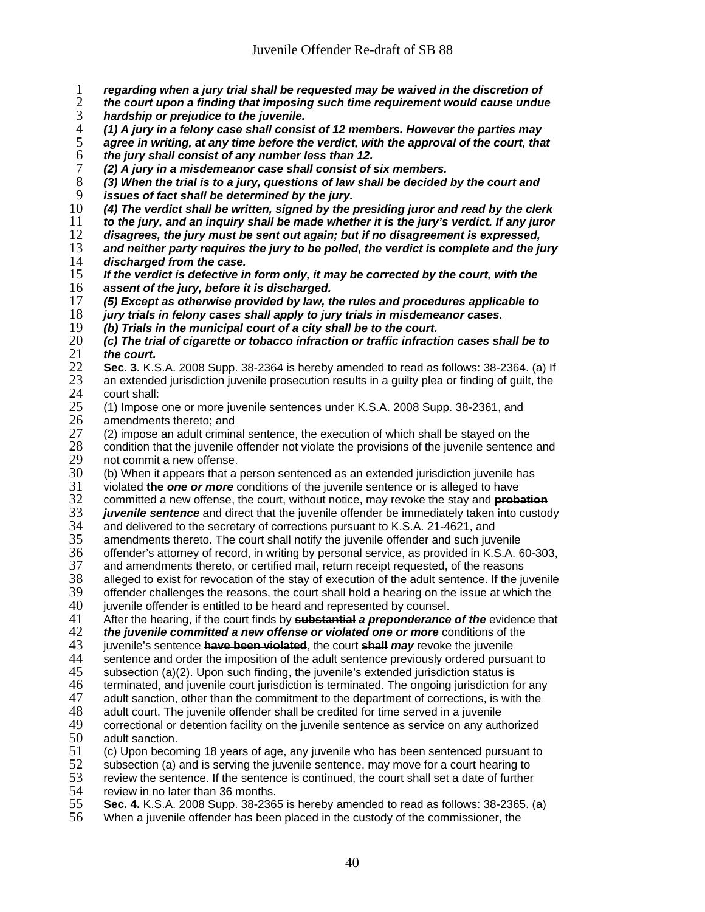- 1 *regarding when a jury trial shall be requested may be waived in the discretion of*
- 2 *the court upon a finding that imposing such time requirement would cause undue*
- 3 *hardship or prejudice to the juvenile.*
- 4 *(1) A jury in a felony case shall consist of 12 members. However the parties may*  5 *agree in writing, at any time before the verdict, with the approval of the court, that*
- 6 *the jury shall consist of any number less than 12.*
- 7 *(2) A jury in a misdemeanor case shall consist of six members.*  8 *(3) When the trial is to a jury, questions of law shall be decided by the court and*
- 9 *issues of fact shall be determined by the jury.*
- 10 *(4) The verdict shall be written, signed by the presiding juror and read by the clerk*
- 11 *to the jury, and an inquiry shall be made whether it is the jury's verdict. If any juror*
- 12 *disagrees, the jury must be sent out again; but if no disagreement is expressed,*
- 13 *and neither party requires the jury to be polled, the verdict is complete and the jury*  14 *discharged from the case.*
- 15 *If the verdict is defective in form only, it may be corrected by the court, with the*  assent of the jury, before it is discharged.
- 17 *(5) Except as otherwise provided by law, the rules and procedures applicable to*
- 18 *jury trials in felony cases shall apply to jury trials in misdemeanor cases.*
- 19 *(b) Trials in the municipal court of a city shall be to the court.*
- 20 *(c) The trial of cigarette or tobacco infraction or traffic infraction cases shall be to*  21 *the court.*
- **Sec. 3.** K.S.A. 2008 Supp. 38-2364 is hereby amended to read as follows: 38-2364. (a) If <br>23 an extended jurisdiction juvenile prosecution results in a guilty plea or finding of guilt, the 23 an extended jurisdiction juvenile prosecution results in a guilty plea or finding of guilt, the 24 court shall:
- 24 court shall:<br>25 (1) Impose 25 (1) Impose one or more juvenile sentences under K.S.A. 2008 Supp. 38-2361, and 26 amendments thereto: and
- 26 amendments thereto; and<br>27 (2) impose an adult crimina
- 27 (2) impose an adult criminal sentence, the execution of which shall be stayed on the 28 condition that the iuvenile offender not violate the provisions of the iuvenile sentence 28 condition that the juvenile offender not violate the provisions of the juvenile sentence and 29 not commit a new offense.
- 29 not commit a new offense.<br> $30$  (b) When it appears that a 30 (b) When it appears that a person sentenced as an extended jurisdiction juvenile has  $31$  violated the one or more conditions of the juvenile sentence or is alleged to have
- 
- 31 violated **the** *one or more* conditions of the juvenile sentence or is alleged to have
- 32 committed a new offense, the court, without notice, may revoke the stay and **probation** 33 *juvenile sentence* and direct that the juvenile offender be immediately taken into custody<br>34 and delivered to the secretary of corrections pursuant to K.S.A. 21-4621, and
- 34 and delivered to the secretary of corrections pursuant to K.S.A. 21-4621, and<br>35 amendments thereto. The court shall notify the juvenile offender and such juv 35 amendments thereto. The court shall notify the juvenile offender and such juvenile
- 36 offender's attorney of record, in writing by personal service, as provided in K.S.A. 60-303,
- 37 and amendments thereto, or certified mail, return receipt requested, of the reasons<br>38 alleged to exist for revocation of the stay of execution of the adult sentence. If the ju
- 38 alleged to exist for revocation of the stay of execution of the adult sentence. If the juvenile
- $39$  offender challenges the reasons, the court shall hold a hearing on the issue at which the  $40$  ivvenile offender is entitled to be heard and represented by counsel.
- 40 juvenile offender is entitled to be heard and represented by counsel.<br>41 After the hearing, if the court finds by **substantial a preponderance**
- 41 After the hearing, if the court finds by **substantial** *a preponderance of the* evidence that
- 42 **the juvenile committed a new offense or violated one or more** conditions of the 43 juvenile's sentence **have been violated**, the court **shall may** revoke the juvenile
- 43 juvenile's sentence **have been violated**, the court **shall** *may* revoke the juvenile
- 44 sentence and order the imposition of the adult sentence previously ordered pursuant to  $45$  subsection (a)(2). Upon such finding, the juvenile's extended jurisdiction status is
- 45 subsection (a)(2). Upon such finding, the juvenile's extended jurisdiction status is<br>46 terminated, and juvenile court jurisdiction is terminated. The ongoing jurisdiction fo
- 46 terminated, and juvenile court jurisdiction is terminated. The ongoing jurisdiction for any<br>47 adult sanction, other than the commitment to the department of corrections, is with the
- 47 adult sanction, other than the commitment to the department of corrections, is with the 48 adult court. The juvenile offender shall be credited for time served in a juvenile
- 48 adult court. The juvenile offender shall be credited for time served in a juvenile<br>49 correctional or detention facility on the juvenile sentence as service on any autl
- 49 correctional or detention facility on the juvenile sentence as service on any authorized<br>50 adult sanction. adult sanction.
- 51 (c) Upon becoming 18 years of age, any juvenile who has been sentenced pursuant to 52 subsection (a) and is serving the juvenile sentence, may move for a court hearing to
- 
- 52 subsection (a) and is serving the juvenile sentence, may move for a court hearing to<br>53 review the sentence. If the sentence is continued, the court shall set a date of further 53 review the sentence. If the sentence is continued, the court shall set a date of further 54 review in no later than 36 months. 54 review in no later than 36 months.<br>55 **Sec. 4.** K.S.A. 2008 Supp. 38-236
- 55 **Sec. 4.** K.S.A. 2008 Supp. 38-2365 is hereby amended to read as follows: 38-2365. (a)
- When a juvenile offender has been placed in the custody of the commissioner, the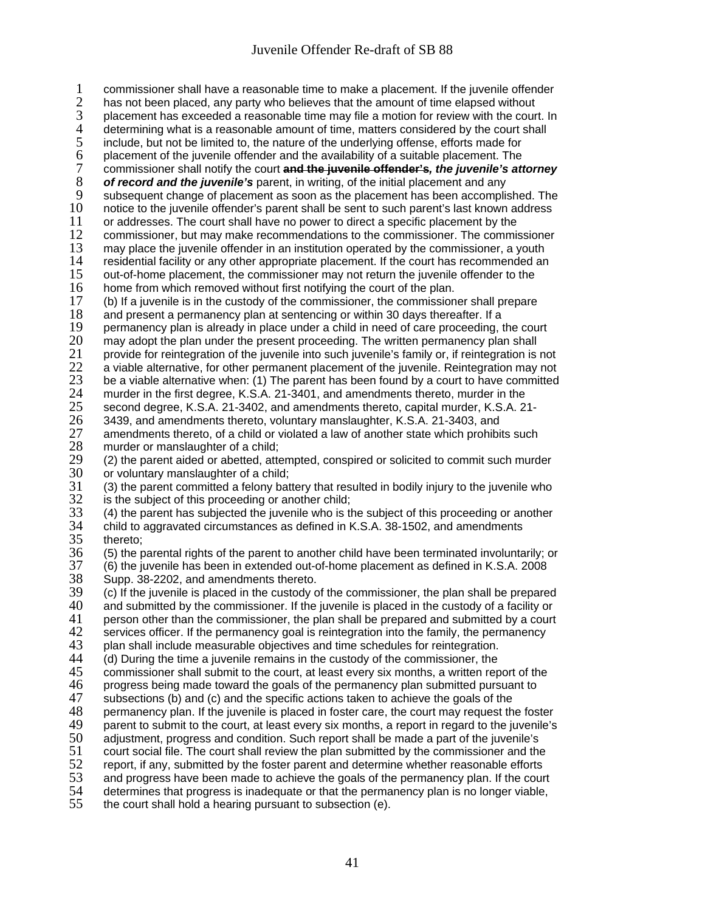1 commissioner shall have a reasonable time to make a placement. If the juvenile offender<br>2 has not been placed, any party who believes that the amount of time elapsed without

- 2 has not been placed, any party who believes that the amount of time elapsed without 3 placement has exceeded a reasonable time may file a motion for review with the cour
- 3 placement has exceeded a reasonable time may file a motion for review with the court. In<br>4 determining what is a reasonable amount of time, matters considered by the court shall
- 4 determining what is a reasonable amount of time, matters considered by the court shall<br>5 include, but not be limited to, the nature of the underlying offense, efforts made for
- 5 include, but not be limited to, the nature of the underlying offense, efforts made for<br>6 placement of the juvenile offender and the availability of a suitable placement. The
- 6 placement of the juvenile offender and the availability of a suitable placement. The commissioner shall notify the court and the juvenile offender's, the juvenile's att
- 7 commissioner shall notify the court **and the juvenile offender's***, the juvenile's attorney*
- 8 *of record and the juvenile's* parent, in writing, of the initial placement and any
- 9 subsequent change of placement as soon as the placement has been accomplished. The<br>10 notice to the juvenile offender's parent shall be sent to such parent's last known address
- 10 notice to the juvenile offender's parent shall be sent to such parent's last known address 1<br>11 or addresses. The court shall have no power to direct a specific placement by the
- 11 or addresses. The court shall have no power to direct a specific placement by the 12 commissioner, but may make recommendations to the commissioner. The commi
- 12 commissioner, but may make recommendations to the commissioner. The commissioner<br>13 may place the juvenile offender in an institution operated by the commissioner, a youth 13 may place the juvenile offender in an institution operated by the commissioner, a youth 14 residential facility or any other appropriate placement. If the court has recommended an
- 14 residential facility or any other appropriate placement. If the court has recommended an <br>15 out-of-home placement, the commissioner may not return the iuvenile offender to the 15 out-of-home placement, the commissioner may not return the juvenile offender to the 16 home from which removed without first notifying the court of the plan. home from which removed without first notifying the court of the plan.
- 
- 17 (b) If a juvenile is in the custody of the commissioner, the commissioner shall prepare 18 and present a permanency plan at sentencing or within 30 days thereafter. If a
- 18 and present a permanency plan at sentencing or within 30 days thereafter. If a<br>19 permanency plan is already in place under a child in need of care proceeding, t
- 19 permanency plan is already in place under a child in need of care proceeding, the court <br>20 may adopt the plan under the present proceeding. The written permanency plan shall
- 20 may adopt the plan under the present proceeding. The written permanency plan shall<br>21 provide for reintegration of the juvenile into such juvenile's family or, if reintegration is 21 provide for reintegration of the juvenile into such juvenile's family or, if reintegration is not<br>22 a viable alternative, for other permanent placement of the juvenile. Reintegration may not
- 22 a viable alternative, for other permanent placement of the juvenile. Reintegration may not  $23$  be a viable alternative when: (1) The parent has been found by a court to have committed
- 23 be a viable alternative when: (1) The parent has been found by a court to have committed<br>24 murder in the first degree, K.S.A. 21-3401, and amendments thereto, murder in the
- 24 murder in the first degree, K.S.A. 21-3401, and amendments thereto, murder in the
- 25 second degree, K.S.A. 21-3402, and amendments thereto, capital murder, K.S.A. 21-<br>26 3439, and amendments thereto, voluntary manslaughter, K.S.A. 21-3403, and
- 26 3439, and amendments thereto, voluntary manslaughter, K.S.A. 21-3403, and 27 amendments thereto, of a child or violated a law of another state which prohibits such 28 murder or manslaughter of a child:
- 28 murder or manslaughter of a child;<br>29 (2) the parent aided or abetted, atte 29 (2) the parent aided or abetted, attempted, conspired or solicited to commit such murder<br>30 or voluntary manslaughter of a child;  $30$  or voluntary manslaughter of a child;<br> $31$  (3) the parent committed a felony bat
- $31$  (3) the parent committed a felony battery that resulted in bodily injury to the juvenile who  $32$  is the subject of this proceeding or another child; 32 is the subject of this proceeding or another child;<br>33 (4) the parent has subjected the juvenile who is the
- 33 (4) the parent has subjected the juvenile who is the subject of this proceeding or another 34 child to aggravated circumstances as defined in K.S.A. 38-1502, and amendments
- 34 child to aggravated circumstances as defined in K.S.A. 38-1502, and amendments thereto;  $35$  thereto;<br> $36$  (5) the p
- 36 (5) the parental rights of the parent to another child have been terminated involuntarily; or 37 (6) the juvenile has been in extended out-of-home placement as defined in K.S.A. 2008
- 37 (6) the juvenile has been in extended out-of-home placement as defined in K.S.A. 2008
- 38 Supp. 38-2202, and amendments thereto. 39 (c) If the juvenile is placed in the custody of the commissioner, the plan shall be prepared 40 and submitted by the commissioner. If the juvenile is placed in the custody of a facility or 40 and submitted by the commissioner. If the juvenile is placed in the custody of a facility or 41 person other than the commissioner, the plan shall be prepared and submitted by a court
- $41$  person other than the commissioner, the plan shall be prepared and submitted by a court  $42$  services officer. If the permanency goal is reintegration into the family, the permanency
- 42 services officer. If the permanency goal is reintegration into the family, the permanency<br>43 plan shall include measurable objectives and time schedules for reintegration.
- 43 plan shall include measurable objectives and time schedules for reintegration.<br>44 (d) During the time a juvenile remains in the custody of the commissioner, the
- 44 (d) During the time a juvenile remains in the custody of the commissioner, the 45 commissioner shall submit to the court, at least every six months, a written rep
- 45 commissioner shall submit to the court, at least every six months, a written report of the 46 progress being made toward the goals of the permanency plan submitted pursuant to
- 46 progress being made toward the goals of the permanency plan submitted pursuant to  $47$  subsections (b) and (c) and the specific actions taken to achieve the goals of the
- 47 subsections (b) and (c) and the specific actions taken to achieve the goals of the 48 spermanency plan. If the juvenile is placed in foster care, the court may request the
- 48 permanency plan. If the juvenile is placed in foster care, the court may request the foster<br>49 parent to submit to the court, at least every six months, a report in regard to the juvenile's
- 49 parent to submit to the court, at least every six months, a report in regard to the juvenile's 450 adjustment, progress and condition. Such report shall be made a part of the juvenile's
- adjustment, progress and condition. Such report shall be made a part of the juvenile's
- 51 court social file. The court shall review the plan submitted by the commissioner and the<br>52 report, if any, submitted by the foster parent and determine whether reasonable efforts
- 52 report, if any, submitted by the foster parent and determine whether reasonable efforts<br>53 and progress have been made to achieve the goals of the permanency plan. If the cour
- 53 and progress have been made to achieve the goals of the permanency plan. If the court 54 determines that progress is inadequate or that the permanency plan is no longer viable,
- 54 determines that progress is inadequate or that the permanency plan is no longer viable,  $55$  the court shall hold a hearing pursuant to subsection (e). the court shall hold a hearing pursuant to subsection (e).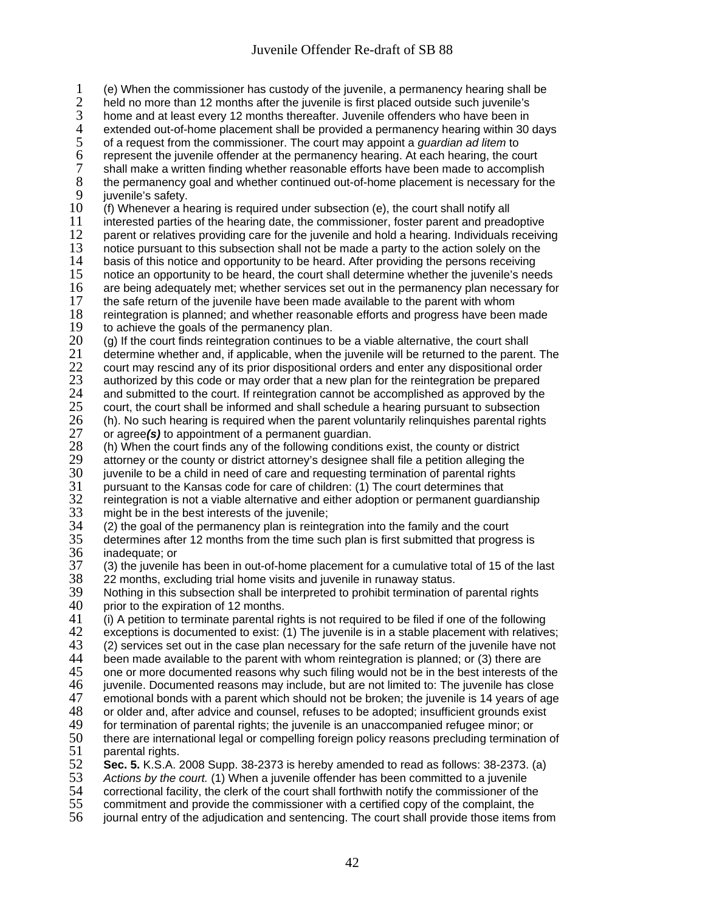1 (e) When the commissioner has custody of the juvenile, a permanency hearing shall be 2 held no more than 12 months after the juvenile is first placed outside such juvenile's<br>3 home and at least every 12 months thereafter. Juvenile offenders who have been in 3 home and at least every 12 months thereafter. Juvenile offenders who have been in<br>4 extended out-of-home placement shall be provided a permanency hearing within 30 4 extended out-of-home placement shall be provided a permanency hearing within 30 days of a request from the commissioner. The court may appoint a *guardian ad litem* to 5 of a request from the commissioner. The court may appoint a *guardian ad litem* to 6 represent the juvenile offender at the permanency hearing. At each hearing, the court 7 shall make a written finding whether reasonable efforts have been made to accomplish<br>8 the permanency goal and whether continued out-of-home placement is necessary for th 8 the permanency goal and whether continued out-of-home placement is necessary for the iuvenile's safety. 9 juvenile's safety.<br>10 (f) Whenever a he 10 (f) Whenever a hearing is required under subsection (e), the court shall notify all<br>11 interested parties of the hearing date, the commissioner, foster parent and pread 11 interested parties of the hearing date, the commissioner, foster parent and preadoptive<br>12 parent or relatives providing care for the iuvenile and hold a hearing. Individuals receivi 12 parent or relatives providing care for the juvenile and hold a hearing. Individuals receiving<br>13 notice pursuant to this subsection shall not be made a party to the action solely on the 13 notice pursuant to this subsection shall not be made a party to the action solely on the 14 basis of this notice and opportunity to be heard. After providing the persons receiving 14 basis of this notice and opportunity to be heard. After providing the persons receiving<br>15 onotice an opportunity to be heard, the court shall determine whether the iuvenile's nee 15 notice an opportunity to be heard, the court shall determine whether the juvenile's needs<br>16 are being adequately met: whether services set out in the permanency plan necessary for are being adequately met; whether services set out in the permanency plan necessary for 17 the safe return of the juvenile have been made available to the parent with whom<br>18 reintegration is planned; and whether reasonable efforts and progress have been 18 reintegration is planned; and whether reasonable efforts and progress have been made<br>19 to achieve the goals of the permanency plan. 19 to achieve the goals of the permanency plan.<br>20 (q) If the court finds reintegration continues to  $20$  (g) If the court finds reintegration continues to be a viable alternative, the court shall  $21$  determine whether and, if applicable, when the juvenile will be returned to the parent

21 determine whether and, if applicable, when the juvenile will be returned to the parent. The  $22$  court may rescind any of its prior dispositional orders and enter any dispositional order 22 court may rescind any of its prior dispositional orders and enter any dispositional order  $23$  authorized by this code or may order that a new plan for the reintegration be prepared

23 authorized by this code or may order that a new plan for the reintegration be prepared<br>24 and submitted to the court. If reintegration cannot be accomplished as approved by the

24 and submitted to the court. If reintegration cannot be accomplished as approved by the 25 court, the court shall be informed and shall schedule a hearing pursuant to subsection

- 25 court, the court shall be informed and shall schedule a hearing pursuant to subsection<br>26 (h). No such hearing is required when the parent voluntarily relinguishes parental rights
- 26 (h). No such hearing is required when the parent voluntarily relinquishes parental rights  $27$  or agree(s) to appointment of a permanent quardian. 27 or agree*(s)* to appointment of a permanent guardian.

28 (h) When the court finds any of the following conditions exist, the county or district 29 attorney or the county or district attorney's designee shall file a petition alleging the

29 attorney or the county or district attorney's designee shall file a petition alleging the<br>30 juvenile to be a child in need of care and requesting termination of parental rights

30 juvenile to be a child in need of care and requesting termination of parental rights

31 pursuant to the Kansas code for care of children: (1) The court determines that<br>32 reintegration is not a viable alternative and either adoption or permanent guardi-

32 reintegration is not a viable alternative and either adoption or permanent guardianship<br>33 might be in the best interests of the juvenile; 33 might be in the best interests of the juvenile;<br>34 (2) the goal of the permanency plan is reinter

34 (2) the goal of the permanency plan is reintegration into the family and the court 35 determines after 12 months from the time such plan is first submitted that progre 35 determines after 12 months from the time such plan is first submitted that progress is

36 inadequate; or<br>37 (3) the iuvenile 37 (3) the juvenile has been in out-of-home placement for a cumulative total of 15 of the last 38 22 months, excluding trial home visits and juvenile in runaway status.

38 22 months, excluding trial home visits and juvenile in runaway status.<br>39 Nothing in this subsection shall be interpreted to prohibit termination o 39 Nothing in this subsection shall be interpreted to prohibit termination of parental rights <br>40 prior to the expiration of 12 months.

40 prior to the expiration of 12 months.<br>41 (i) A petition to terminate parental rig

41 (i) A petition to terminate parental rights is not required to be filed if one of the following<br>42 exceptions is documented to exist: (1) The iuvenile is in a stable placement with relative 42 exceptions is documented to exist:  $(1)$  The juvenile is in a stable placement with relatives;<br>43  $(2)$  services set out in the case plan necessary for the safe return of the juvenile have not

43 (2) services set out in the case plan necessary for the safe return of the juvenile have not 44 been made available to the parent with whom reintegration is planned; or (3) there are

44 been made available to the parent with whom reintegration is planned; or (3) there are<br>45 one or more documented reasons why such filing would not be in the best interests of t

45 one or more documented reasons why such filing would not be in the best interests of the 46 iuvenile. Documented reasons may include, but are not limited to: The juvenile has close

46 juvenile. Documented reasons may include, but are not limited to: The juvenile has close

47 emotional bonds with a parent which should not be broken; the juvenile is 14 years of age<br>48 or older and, after advice and counsel, refuses to be adopted; insufficient grounds exist

48 or older and, after advice and counsel, refuses to be adopted; insufficient grounds exist 49 for termination of parental rights: the inversile is an unaccompanied refugee minor: or

49 for termination of parental rights; the juvenile is an unaccompanied refugee minor; or<br>50 there are international legal or compelling foreign policy reasons precluding termination there are international legal or compelling foreign policy reasons precluding termination of

51 parental rights.<br>52 **Sec. 5.** K.S.A.

52 **Sec. 5.** K.S.A. 2008 Supp. 38-2373 is hereby amended to read as follows: 38-2373. (a)

53 *Actions by the court.* (1) When a juvenile offender has been committed to a juvenile 54 correctional facility, the clerk of the court shall forthwith notify the commissioner of the<br>55 commitment and provide the commissioner with a certified copy of the complaint, the

55 commitment and provide the commissioner with a certified copy of the complaint, the<br>56 journal entry of the adjudication and sentencing. The court shall provide those items f

journal entry of the adjudication and sentencing. The court shall provide those items from